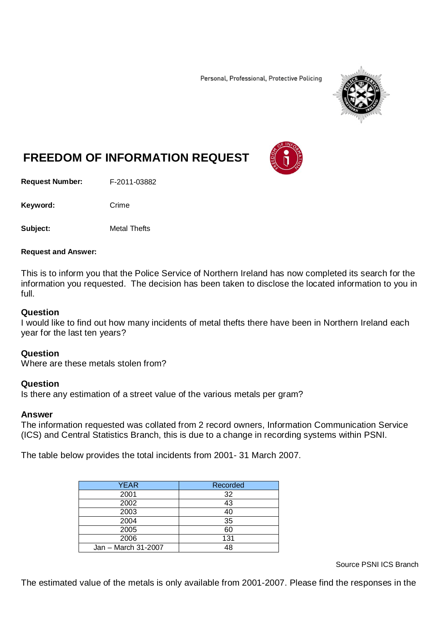Personal, Professional, Protective Policing



# **FREEDOM OF INFORMATION REQUEST**

**Request Number:** F-2011-03882

Keyword: Crime

**Subject:** Metal Thefts

#### **Request and Answer:**

This is to inform you that the Police Service of Northern Ireland has now completed its search for the information you requested. The decision has been taken to disclose the located information to you in full.

#### **Question**

I would like to find out how many incidents of metal thefts there have been in Northern Ireland each year for the last ten years?

## **Question**

Where are these metals stolen from?

## **Question**

Is there any estimation of a street value of the various metals per gram?

## **Answer**

The information requested was collated from 2 record owners, Information Communication Service (ICS) and Central Statistics Branch, this is due to a change in recording systems within PSNI.

The table below provides the total incidents from 2001- 31 March 2007.

| YEAR                | Recorded |
|---------------------|----------|
| 2001                | 32       |
| 2002                | 43       |
| 2003                | 40       |
| 2004                | 35       |
| 2005                | 60       |
| 2006                | 131      |
| Jan - March 31-2007 | 1 R      |

Source PSNI ICS Branch

The estimated value of the metals is only available from 2001-2007. Please find the responses in the

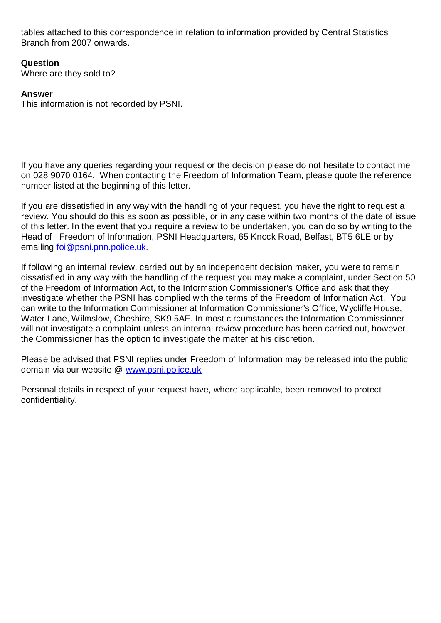tables attached to this correspondence in relation to information provided by Central Statistics Branch from 2007 onwards.

**Question**

Where are they sold to?

## **Answer**

This information is not recorded by PSNI.

If you have any queries regarding your request or the decision please do not hesitate to contact me on 028 9070 0164. When contacting the Freedom of Information Team, please quote the reference number listed at the beginning of this letter.

If you are dissatisfied in any way with the handling of your request, you have the right to request a review. You should do this as soon as possible, or in any case within two months of the date of issue of this letter. In the event that you require a review to be undertaken, you can do so by writing to the Head of Freedom of Information, PSNI Headquarters, 65 Knock Road, Belfast, BT5 6LE or by emailing [foi@psni.pnn.police.uk.](mailto:foi@psni.pnn.police.uk)

If following an internal review, carried out by an independent decision maker, you were to remain dissatisfied in any way with the handling of the request you may make a complaint, under Section 50 of the Freedom of Information Act, to the Information Commissioner's Office and ask that they investigate whether the PSNI has complied with the terms of the Freedom of Information Act. You can write to the Information Commissioner at Information Commissioner's Office, Wycliffe House, Water Lane, Wilmslow, Cheshire, SK9 5AF. In most circumstances the Information Commissioner will not investigate a complaint unless an internal review procedure has been carried out, however the Commissioner has the option to investigate the matter at his discretion.

Please be advised that PSNI replies under Freedom of Information may be released into the public domain via our website @ [www.psni.police.uk](http://www.psni.police.uk/)

Personal details in respect of your request have, where applicable, been removed to protect confidentiality.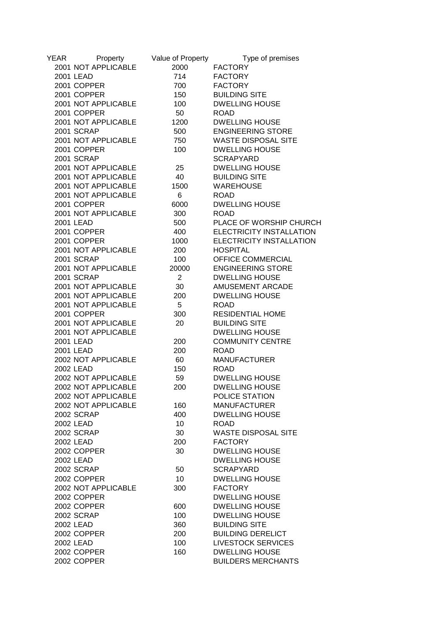| YEAR | Property            | Value of Property | Type of premises           |
|------|---------------------|-------------------|----------------------------|
|      | 2001 NOT APPLICABLE | 2000              | <b>FACTORY</b>             |
|      | 2001 LEAD           | 714               | <b>FACTORY</b>             |
|      | 2001 COPPER         | 700               | <b>FACTORY</b>             |
|      | 2001 COPPER         | 150               | <b>BUILDING SITE</b>       |
|      | 2001 NOT APPLICABLE | 100               | <b>DWELLING HOUSE</b>      |
|      | 2001 COPPER         | 50                | <b>ROAD</b>                |
|      | 2001 NOT APPLICABLE | 1200              | <b>DWELLING HOUSE</b>      |
|      | 2001 SCRAP          | 500               | <b>ENGINEERING STORE</b>   |
|      | 2001 NOT APPLICABLE | 750               | <b>WASTE DISPOSAL SITE</b> |
|      | 2001 COPPER         | 100               | <b>DWELLING HOUSE</b>      |
|      | 2001 SCRAP          |                   | <b>SCRAPYARD</b>           |
|      | 2001 NOT APPLICABLE | 25                | <b>DWELLING HOUSE</b>      |
|      | 2001 NOT APPLICABLE | 40                | <b>BUILDING SITE</b>       |
|      | 2001 NOT APPLICABLE | 1500              | <b>WAREHOUSE</b>           |
|      | 2001 NOT APPLICABLE | 6                 | <b>ROAD</b>                |
|      | 2001 COPPER         | 6000              | <b>DWELLING HOUSE</b>      |
|      | 2001 NOT APPLICABLE | 300               | <b>ROAD</b>                |
|      | 2001 LEAD           | 500               | PLACE OF WORSHIP CHURCH    |
|      | 2001 COPPER         | 400               | ELECTRICITY INSTALLATION   |
|      | 2001 COPPER         | 1000              | ELECTRICITY INSTALLATION   |
|      | 2001 NOT APPLICABLE | 200               | <b>HOSPITAL</b>            |
|      | 2001 SCRAP          | 100               | OFFICE COMMERCIAL          |
|      | 2001 NOT APPLICABLE | 20000             | <b>ENGINEERING STORE</b>   |
|      | 2001 SCRAP          | $\overline{2}$    | <b>DWELLING HOUSE</b>      |
|      | 2001 NOT APPLICABLE | 30                | AMUSEMENT ARCADE           |
|      | 2001 NOT APPLICABLE | 200               | <b>DWELLING HOUSE</b>      |
|      | 2001 NOT APPLICABLE | 5                 | <b>ROAD</b>                |
|      | 2001 COPPER         | 300               | <b>RESIDENTIAL HOME</b>    |
|      | 2001 NOT APPLICABLE | 20                | <b>BUILDING SITE</b>       |
|      | 2001 NOT APPLICABLE |                   | <b>DWELLING HOUSE</b>      |
|      | 2001 LEAD           | 200               | <b>COMMUNITY CENTRE</b>    |
|      | 2001 LEAD           | 200               | <b>ROAD</b>                |
|      | 2002 NOT APPLICABLE | 60                | <b>MANUFACTURER</b>        |
|      | 2002 LEAD           | 150               | <b>ROAD</b>                |
|      | 2002 NOT APPLICABLE | 59                | <b>DWELLING HOUSE</b>      |
|      | 2002 NOT APPLICABLE | 200               | <b>DWELLING HOUSE</b>      |
|      | 2002 NOT APPLICABLE |                   | POLICE STATION             |
|      | 2002 NOT APPLICABLE | 160               | <b>MANUFACTURER</b>        |
|      | <b>2002 SCRAP</b>   | 400               | <b>DWELLING HOUSE</b>      |
|      | 2002 LEAD           | 10 <sup>°</sup>   | <b>ROAD</b>                |
|      | 2002 SCRAP          | 30                | <b>WASTE DISPOSAL SITE</b> |
|      | 2002 LEAD           | 200               | <b>FACTORY</b>             |
|      | 2002 COPPER         | 30                | <b>DWELLING HOUSE</b>      |
|      | 2002 LEAD           |                   | <b>DWELLING HOUSE</b>      |
|      | <b>2002 SCRAP</b>   | 50                | <b>SCRAPYARD</b>           |
|      | 2002 COPPER         | 10 <sup>1</sup>   | <b>DWELLING HOUSE</b>      |
|      | 2002 NOT APPLICABLE | 300               | <b>FACTORY</b>             |
|      | 2002 COPPER         |                   | <b>DWELLING HOUSE</b>      |
|      | 2002 COPPER         | 600               | <b>DWELLING HOUSE</b>      |
|      | 2002 SCRAP          | 100               | <b>DWELLING HOUSE</b>      |
|      | 2002 LEAD           | 360               | <b>BUILDING SITE</b>       |
|      | 2002 COPPER         | 200               | <b>BUILDING DERELICT</b>   |
|      | 2002 LEAD           | 100               | <b>LIVESTOCK SERVICES</b>  |
|      | 2002 COPPER         | 160               | <b>DWELLING HOUSE</b>      |
|      | 2002 COPPER         |                   | <b>BUILDERS MERCHANTS</b>  |
|      |                     |                   |                            |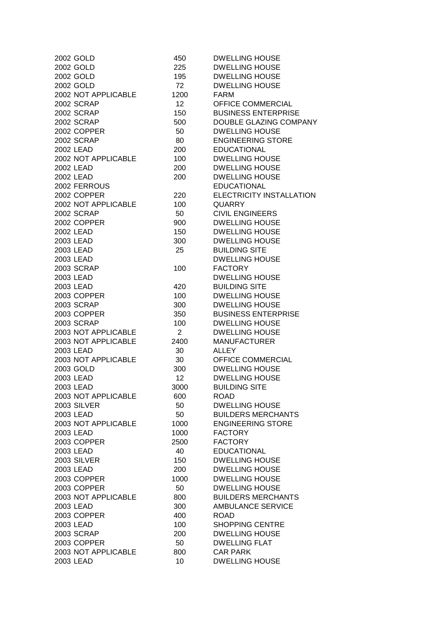| 2002 GOLD           | 450             | <b>DWELLING HOUSE</b>      |
|---------------------|-----------------|----------------------------|
| 2002 GOLD           | 225             | <b>DWELLING HOUSE</b>      |
| 2002 GOLD           | 195             | <b>DWELLING HOUSE</b>      |
| 2002 GOLD           | 72              | <b>DWELLING HOUSE</b>      |
| 2002 NOT APPLICABLE | 1200            | <b>FARM</b>                |
| 2002 SCRAP          | 12 <sup>2</sup> | OFFICE COMMERCIAL          |
| 2002 SCRAP          | 150             | <b>BUSINESS ENTERPRISE</b> |
| 2002 SCRAP          | 500             | DOUBLE GLAZING COMPANY     |
| 2002 COPPER         | 50              | <b>DWELLING HOUSE</b>      |
| 2002 SCRAP          | 80              | <b>ENGINEERING STORE</b>   |
| 2002 LEAD           | 200             | <b>EDUCATIONAL</b>         |
| 2002 NOT APPLICABLE | 100             | <b>DWELLING HOUSE</b>      |
| 2002 LEAD           | 200             | <b>DWELLING HOUSE</b>      |
| 2002 LEAD           | 200             | <b>DWELLING HOUSE</b>      |
| 2002 FERROUS        |                 | <b>EDUCATIONAL</b>         |
| 2002 COPPER         |                 | ELECTRICITY INSTALLATION   |
|                     | 220             |                            |
| 2002 NOT APPLICABLE | 100             | <b>QUARRY</b>              |
| 2002 SCRAP          | 50              | <b>CIVIL ENGINEERS</b>     |
| 2002 COPPER         | 900             | <b>DWELLING HOUSE</b>      |
| 2002 LEAD           | 150             | <b>DWELLING HOUSE</b>      |
| 2003 LEAD           | 300             | <b>DWELLING HOUSE</b>      |
| 2003 LEAD           | 25              | <b>BUILDING SITE</b>       |
| 2003 LEAD           |                 | <b>DWELLING HOUSE</b>      |
| 2003 SCRAP          | 100             | <b>FACTORY</b>             |
| 2003 LEAD           |                 | <b>DWELLING HOUSE</b>      |
| 2003 LEAD           | 420             | <b>BUILDING SITE</b>       |
| 2003 COPPER         | 100             | <b>DWELLING HOUSE</b>      |
| <b>2003 SCRAP</b>   | 300             | <b>DWELLING HOUSE</b>      |
| 2003 COPPER         | 350             | <b>BUSINESS ENTERPRISE</b> |
| 2003 SCRAP          | 100             | <b>DWELLING HOUSE</b>      |
| 2003 NOT APPLICABLE | $\overline{2}$  | <b>DWELLING HOUSE</b>      |
| 2003 NOT APPLICABLE | 2400            | <b>MANUFACTURER</b>        |
| 2003 LEAD           | 30              | <b>ALLEY</b>               |
| 2003 NOT APPLICABLE | 30              | OFFICE COMMERCIAL          |
| 2003 GOLD           | 300             | <b>DWELLING HOUSE</b>      |
| 2003 LEAD           | 12              | <b>DWELLING HOUSE</b>      |
| 2003 LEAD           | 3000            | <b>BUILDING SITE</b>       |
| 2003 NOT APPLICABLE | 600             | <b>ROAD</b>                |
| 2003 SILVER         | 50              | <b>DWELLING HOUSE</b>      |
| 2003 LEAD           | 50              | <b>BUILDERS MERCHANTS</b>  |
| 2003 NOT APPLICABLE | 1000            | <b>ENGINEERING STORE</b>   |
| 2003 LEAD           | 1000            | <b>FACTORY</b>             |
| 2003 COPPER         | 2500            | <b>FACTORY</b>             |
| 2003 LEAD           | 40              | <b>EDUCATIONAL</b>         |
| 2003 SILVER         | 150             | <b>DWELLING HOUSE</b>      |
| 2003 LEAD           | 200             | <b>DWELLING HOUSE</b>      |
| 2003 COPPER         | 1000            | <b>DWELLING HOUSE</b>      |
| 2003 COPPER         | 50              | <b>DWELLING HOUSE</b>      |
| 2003 NOT APPLICABLE | 800             | <b>BUILDERS MERCHANTS</b>  |
| 2003 LEAD           | 300             | <b>AMBULANCE SERVICE</b>   |
| 2003 COPPER         |                 |                            |
|                     | 400             | <b>ROAD</b>                |
| 2003 LEAD           | 100             | <b>SHOPPING CENTRE</b>     |
| <b>2003 SCRAP</b>   | 200             | <b>DWELLING HOUSE</b>      |
| 2003 COPPER         | 50              | <b>DWELLING FLAT</b>       |
| 2003 NOT APPLICABLE | 800             | <b>CAR PARK</b>            |
| 2003 LEAD           | 10              | <b>DWELLING HOUSE</b>      |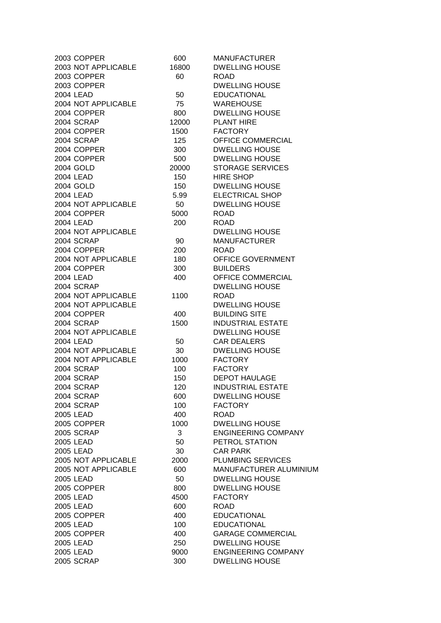| 2003 COPPER         | 600   | <b>MANUFACTURER</b>           |
|---------------------|-------|-------------------------------|
| 2003 NOT APPLICABLE | 16800 | <b>DWELLING HOUSE</b>         |
| 2003 COPPER         | 60    | <b>ROAD</b>                   |
| 2003 COPPER         |       | <b>DWELLING HOUSE</b>         |
| 2004 LEAD           | 50    | <b>EDUCATIONAL</b>            |
| 2004 NOT APPLICABLE | 75    | <b>WAREHOUSE</b>              |
| 2004 COPPER         | 800   | <b>DWELLING HOUSE</b>         |
| 2004 SCRAP          | 12000 | <b>PLANT HIRE</b>             |
| 2004 COPPER         | 1500  | <b>FACTORY</b>                |
| 2004 SCRAP          | 125   | OFFICE COMMERCIAL             |
| 2004 COPPER         | 300   | <b>DWELLING HOUSE</b>         |
| 2004 COPPER         | 500   | <b>DWELLING HOUSE</b>         |
| 2004 GOLD           | 20000 | <b>STORAGE SERVICES</b>       |
| 2004 LEAD           | 150   | <b>HIRE SHOP</b>              |
| 2004 GOLD           | 150   | <b>DWELLING HOUSE</b>         |
| 2004 LEAD           | 5.99  | <b>ELECTRICAL SHOP</b>        |
| 2004 NOT APPLICABLE | 50    | <b>DWELLING HOUSE</b>         |
| 2004 COPPER         | 5000  | <b>ROAD</b>                   |
| 2004 LEAD           | 200   | <b>ROAD</b>                   |
| 2004 NOT APPLICABLE |       | <b>DWELLING HOUSE</b>         |
| <b>2004 SCRAP</b>   | 90    | <b>MANUFACTURER</b>           |
| 2004 COPPER         | 200   | <b>ROAD</b>                   |
| 2004 NOT APPLICABLE | 180   | <b>OFFICE GOVERNMENT</b>      |
| 2004 COPPER         | 300   | <b>BUILDERS</b>               |
| 2004 LEAD           | 400   | OFFICE COMMERCIAL             |
| 2004 SCRAP          |       | <b>DWELLING HOUSE</b>         |
| 2004 NOT APPLICABLE | 1100  | <b>ROAD</b>                   |
| 2004 NOT APPLICABLE |       | <b>DWELLING HOUSE</b>         |
| 2004 COPPER         | 400   | <b>BUILDING SITE</b>          |
| 2004 SCRAP          | 1500  | <b>INDUSTRIAL ESTATE</b>      |
| 2004 NOT APPLICABLE |       | <b>DWELLING HOUSE</b>         |
| 2004 LEAD           | 50    | <b>CAR DEALERS</b>            |
| 2004 NOT APPLICABLE | 30    | <b>DWELLING HOUSE</b>         |
| 2004 NOT APPLICABLE | 1000  | <b>FACTORY</b>                |
| 2004 SCRAP          | 100   | <b>FACTORY</b>                |
| 2004 SCRAP          | 150   | <b>DEPOT HAULAGE</b>          |
| 2004 SCRAP          | 120   | INDUSTRIAL ESTATE             |
| 2004 SCRAP          | 600   | <b>DWELLING HOUSE</b>         |
| 2004 SCRAP          | 100   | <b>FACTORY</b>                |
| 2005 LEAD           | 400   | <b>ROAD</b>                   |
| 2005 COPPER         | 1000  | <b>DWELLING HOUSE</b>         |
| <b>2005 SCRAP</b>   | 3     | <b>ENGINEERING COMPANY</b>    |
| 2005 LEAD           | 50    | PETROL STATION                |
| 2005 LEAD           | 30    | <b>CAR PARK</b>               |
| 2005 NOT APPLICABLE | 2000  | <b>PLUMBING SERVICES</b>      |
| 2005 NOT APPLICABLE | 600   | <b>MANUFACTURER ALUMINIUM</b> |
| 2005 LEAD           | 50    | <b>DWELLING HOUSE</b>         |
| 2005 COPPER         | 800   | <b>DWELLING HOUSE</b>         |
| 2005 LEAD           | 4500  | <b>FACTORY</b>                |
| 2005 LEAD           | 600   | <b>ROAD</b>                   |
| 2005 COPPER         | 400   | <b>EDUCATIONAL</b>            |
| 2005 LEAD           | 100   | <b>EDUCATIONAL</b>            |
| 2005 COPPER         | 400   | <b>GARAGE COMMERCIAL</b>      |
| 2005 LEAD           | 250   | <b>DWELLING HOUSE</b>         |
| 2005 LEAD           | 9000  | <b>ENGINEERING COMPANY</b>    |
| 2005 SCRAP          | 300   | <b>DWELLING HOUSE</b>         |
|                     |       |                               |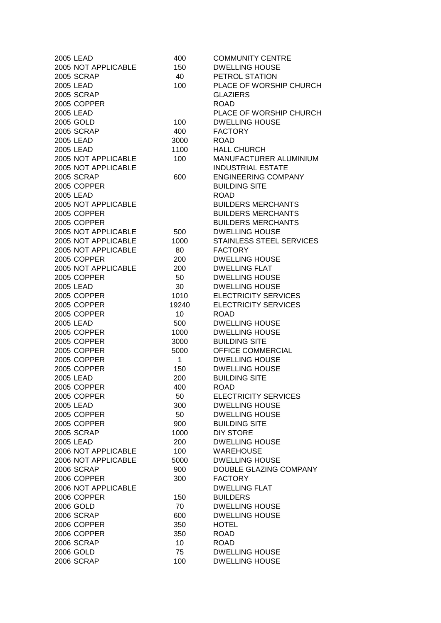| 2005 LEAD           | 400             | <b>COMMUNITY CENTRE</b>         |
|---------------------|-----------------|---------------------------------|
| 2005 NOT APPLICABLE | 150             | <b>DWELLING HOUSE</b>           |
| 2005 SCRAP          | 40              | PETROL STATION                  |
| 2005 LEAD           | 100             | PLACE OF WORSHIP CHURCH         |
| 2005 SCRAP          |                 | <b>GLAZIERS</b>                 |
| 2005 COPPER         |                 | <b>ROAD</b>                     |
| 2005 LEAD           |                 | PLACE OF WORSHIP CHURCH         |
| 2005 GOLD           | 100             | <b>DWELLING HOUSE</b>           |
| 2005 SCRAP          | 400             | <b>FACTORY</b>                  |
| 2005 LEAD           | 3000            | <b>ROAD</b>                     |
| 2005 LEAD           | 1100            | <b>HALL CHURCH</b>              |
| 2005 NOT APPLICABLE | 100             | MANUFACTURER ALUMINIUM          |
| 2005 NOT APPLICABLE |                 | <b>INDUSTRIAL ESTATE</b>        |
|                     |                 |                                 |
| <b>2005 SCRAP</b>   | 600             | <b>ENGINEERING COMPANY</b>      |
| 2005 COPPER         |                 | <b>BUILDING SITE</b>            |
| 2005 LEAD           |                 | <b>ROAD</b>                     |
| 2005 NOT APPLICABLE |                 | <b>BUILDERS MERCHANTS</b>       |
| 2005 COPPER         |                 | <b>BUILDERS MERCHANTS</b>       |
| 2005 COPPER         |                 | <b>BUILDERS MERCHANTS</b>       |
| 2005 NOT APPLICABLE | 500             | <b>DWELLING HOUSE</b>           |
| 2005 NOT APPLICABLE | 1000            | <b>STAINLESS STEEL SERVICES</b> |
| 2005 NOT APPLICABLE | 80              | <b>FACTORY</b>                  |
| 2005 COPPER         | 200             | <b>DWELLING HOUSE</b>           |
| 2005 NOT APPLICABLE | 200             | <b>DWELLING FLAT</b>            |
| 2005 COPPER         | 50              | <b>DWELLING HOUSE</b>           |
| 2005 LEAD           | 30              | <b>DWELLING HOUSE</b>           |
| 2005 COPPER         | 1010            | <b>ELECTRICITY SERVICES</b>     |
| 2005 COPPER         | 19240           | <b>ELECTRICITY SERVICES</b>     |
| 2005 COPPER         | 10              | <b>ROAD</b>                     |
| 2005 LEAD           | 500             | <b>DWELLING HOUSE</b>           |
| 2005 COPPER         | 1000            | <b>DWELLING HOUSE</b>           |
| 2005 COPPER         | 3000            | <b>BUILDING SITE</b>            |
| 2005 COPPER         | 5000            | OFFICE COMMERCIAL               |
| 2005 COPPER         | $\mathbf{1}$    | <b>DWELLING HOUSE</b>           |
| 2005 COPPER         | 150             | <b>DWELLING HOUSE</b>           |
| 2005 LEAD           | 200             | <b>BUILDING SITE</b>            |
| 2005 COPPER         | 400             | ROAD                            |
| 2005 COPPER         | 50              |                                 |
| 2005 LEAD           |                 | ELECTRICITY SERVICES            |
|                     | 300             | <b>DWELLING HOUSE</b>           |
| 2005 COPPER         | 50              | <b>DWELLING HOUSE</b>           |
| 2005 COPPER         | 900             | <b>BUILDING SITE</b>            |
| <b>2005 SCRAP</b>   | 1000            | <b>DIY STORE</b>                |
| 2005 LEAD           | 200             | <b>DWELLING HOUSE</b>           |
| 2006 NOT APPLICABLE | 100             | <b>WAREHOUSE</b>                |
| 2006 NOT APPLICABLE | 5000            | <b>DWELLING HOUSE</b>           |
| 2006 SCRAP          | 900             | <b>DOUBLE GLAZING COMPANY</b>   |
| 2006 COPPER         | 300             | <b>FACTORY</b>                  |
| 2006 NOT APPLICABLE |                 | <b>DWELLING FLAT</b>            |
| 2006 COPPER         | 150             | <b>BUILDERS</b>                 |
| 2006 GOLD           | 70              | <b>DWELLING HOUSE</b>           |
| 2006 SCRAP          | 600             | <b>DWELLING HOUSE</b>           |
| 2006 COPPER         | 350             | <b>HOTEL</b>                    |
| 2006 COPPER         | 350             | <b>ROAD</b>                     |
| 2006 SCRAP          | 10 <sup>1</sup> | <b>ROAD</b>                     |
| 2006 GOLD           | 75              | <b>DWELLING HOUSE</b>           |
| 2006 SCRAP          | 100             | <b>DWELLING HOUSE</b>           |
|                     |                 |                                 |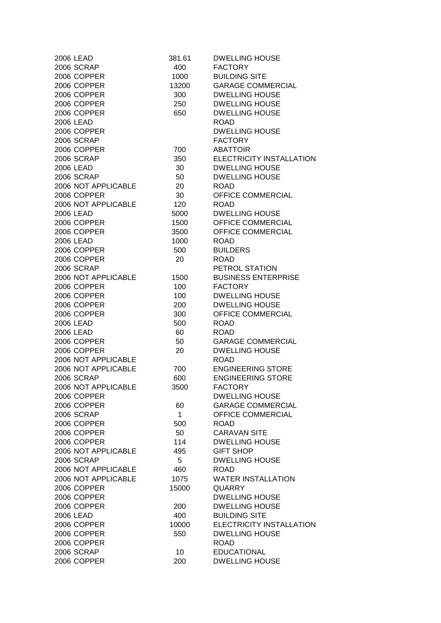| 2006 LEAD           | 381.61 | <b>DWELLING HOUSE</b>      |
|---------------------|--------|----------------------------|
| <b>2006 SCRAP</b>   | 400    | <b>FACTORY</b>             |
| 2006 COPPER         | 1000   | <b>BUILDING SITE</b>       |
| 2006 COPPER         | 13200  | <b>GARAGE COMMERCIAL</b>   |
| 2006 COPPER         | 300    | <b>DWELLING HOUSE</b>      |
| 2006 COPPER         | 250    | <b>DWELLING HOUSE</b>      |
| 2006 COPPER         | 650    | <b>DWELLING HOUSE</b>      |
| 2006 LEAD           |        | <b>ROAD</b>                |
| 2006 COPPER         |        | <b>DWELLING HOUSE</b>      |
| 2006 SCRAP          |        | <b>FACTORY</b>             |
| 2006 COPPER         | 700    | <b>ABATTOIR</b>            |
| 2006 SCRAP          | 350    | ELECTRICITY INSTALLATION   |
|                     | 30     | <b>DWELLING HOUSE</b>      |
| 2006 LEAD           |        |                            |
| 2006 SCRAP          | 50     | <b>DWELLING HOUSE</b>      |
| 2006 NOT APPLICABLE | 20     | <b>ROAD</b>                |
| 2006 COPPER         | 30     | <b>OFFICE COMMERCIAL</b>   |
| 2006 NOT APPLICABLE | 120    | <b>ROAD</b>                |
| 2006 LEAD           | 5000   | <b>DWELLING HOUSE</b>      |
| 2006 COPPER         | 1500   | <b>OFFICE COMMERCIAL</b>   |
| 2006 COPPER         | 3500   | <b>OFFICE COMMERCIAL</b>   |
| 2006 LEAD           | 1000   | <b>ROAD</b>                |
| 2006 COPPER         | 500    | <b>BUILDERS</b>            |
| 2006 COPPER         | 20     | <b>ROAD</b>                |
| 2006 SCRAP          |        | PETROL STATION             |
| 2006 NOT APPLICABLE | 1500   | <b>BUSINESS ENTERPRISE</b> |
| 2006 COPPER         | 100    | <b>FACTORY</b>             |
| 2006 COPPER         | 100    | <b>DWELLING HOUSE</b>      |
| 2006 COPPER         | 200    | <b>DWELLING HOUSE</b>      |
| 2006 COPPER         | 300    | OFFICE COMMERCIAL          |
| 2006 LEAD           | 500    | <b>ROAD</b>                |
| 2006 LEAD           | 60     | <b>ROAD</b>                |
| 2006 COPPER         | 50     | <b>GARAGE COMMERCIAL</b>   |
| 2006 COPPER         | 20     | <b>DWELLING HOUSE</b>      |
| 2006 NOT APPLICABLE |        | <b>ROAD</b>                |
| 2006 NOT APPLICABLE | 700    | <b>ENGINEERING STORE</b>   |
| 2006 SCRAP          | 600    | <b>ENGINEERING STORE</b>   |
| 2006 NOT APPLICABLE | 3500   | <b>FACTORY</b>             |
| 2006 COPPER         |        | <b>DWELLING HOUSE</b>      |
| 2006 COPPER         | 60     | <b>GARAGE COMMERCIAL</b>   |
| 2006 SCRAP          | 1      | OFFICE COMMERCIAL          |
| 2006 COPPER         | 500    | <b>ROAD</b>                |
| 2006 COPPER         | 50     | <b>CARAVAN SITE</b>        |
|                     |        |                            |
| 2006 COPPER         | 114    | <b>DWELLING HOUSE</b>      |
| 2006 NOT APPLICABLE | 495    | <b>GIFT SHOP</b>           |
| <b>2006 SCRAP</b>   | 5      | <b>DWELLING HOUSE</b>      |
| 2006 NOT APPLICABLE | 460    | <b>ROAD</b>                |
| 2006 NOT APPLICABLE | 1075   | <b>WATER INSTALLATION</b>  |
| 2006 COPPER         | 15000  | <b>QUARRY</b>              |
| 2006 COPPER         |        | <b>DWELLING HOUSE</b>      |
| 2006 COPPER         | 200    | <b>DWELLING HOUSE</b>      |
| 2006 LEAD           | 400    | <b>BUILDING SITE</b>       |
| 2006 COPPER         | 10000  | ELECTRICITY INSTALLATION   |
| 2006 COPPER         | 550    | <b>DWELLING HOUSE</b>      |
| 2006 COPPER         |        | <b>ROAD</b>                |
| 2006 SCRAP          | 10     | <b>EDUCATIONAL</b>         |
| 2006 COPPER         | 200    | <b>DWELLING HOUSE</b>      |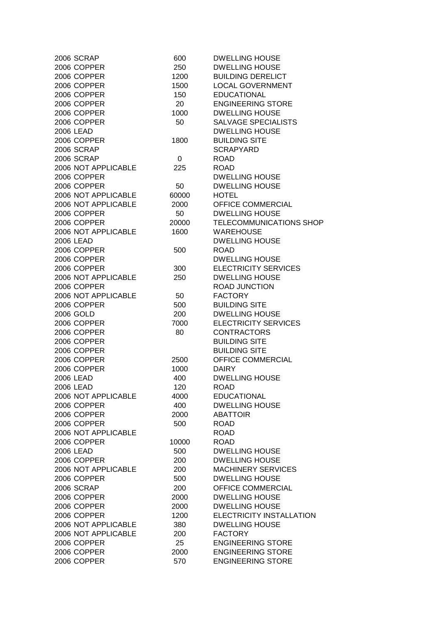| 2006 SCRAP          | 600   | <b>DWELLING HOUSE</b>       |
|---------------------|-------|-----------------------------|
| 2006 COPPER         | 250   | <b>DWELLING HOUSE</b>       |
| 2006 COPPER         | 1200  | <b>BUILDING DERELICT</b>    |
| 2006 COPPER         | 1500  | <b>LOCAL GOVERNMENT</b>     |
| 2006 COPPER         | 150   | <b>EDUCATIONAL</b>          |
| 2006 COPPER         | 20    | <b>ENGINEERING STORE</b>    |
| 2006 COPPER         | 1000  | <b>DWELLING HOUSE</b>       |
| 2006 COPPER         | 50    | SALVAGE SPECIALISTS         |
| 2006 LEAD           |       | <b>DWELLING HOUSE</b>       |
| 2006 COPPER         | 1800  | <b>BUILDING SITE</b>        |
| 2006 SCRAP          |       | <b>SCRAPYARD</b>            |
| 2006 SCRAP          |       | <b>ROAD</b>                 |
|                     | 0     |                             |
| 2006 NOT APPLICABLE | 225   | <b>ROAD</b>                 |
| 2006 COPPER         |       | <b>DWELLING HOUSE</b>       |
| 2006 COPPER         | 50    | <b>DWELLING HOUSE</b>       |
| 2006 NOT APPLICABLE | 60000 | <b>HOTEL</b>                |
| 2006 NOT APPLICABLE | 2000  | OFFICE COMMERCIAL           |
| 2006 COPPER         | 50    | <b>DWELLING HOUSE</b>       |
| 2006 COPPER         | 20000 | TELECOMMUNICATIONS SHOP     |
| 2006 NOT APPLICABLE | 1600  | <b>WAREHOUSE</b>            |
| 2006 LEAD           |       | <b>DWELLING HOUSE</b>       |
| 2006 COPPER         | 500   | <b>ROAD</b>                 |
| 2006 COPPER         |       | <b>DWELLING HOUSE</b>       |
| 2006 COPPER         | 300   | <b>ELECTRICITY SERVICES</b> |
| 2006 NOT APPLICABLE | 250   | <b>DWELLING HOUSE</b>       |
| 2006 COPPER         |       | <b>ROAD JUNCTION</b>        |
| 2006 NOT APPLICABLE | 50    | <b>FACTORY</b>              |
| 2006 COPPER         | 500   | <b>BUILDING SITE</b>        |
| 2006 GOLD           | 200   | <b>DWELLING HOUSE</b>       |
| 2006 COPPER         | 7000  | <b>ELECTRICITY SERVICES</b> |
| 2006 COPPER         | 80    | <b>CONTRACTORS</b>          |
| 2006 COPPER         |       | <b>BUILDING SITE</b>        |
| 2006 COPPER         |       | <b>BUILDING SITE</b>        |
| 2006 COPPER         | 2500  | OFFICE COMMERCIAL           |
|                     |       |                             |
| 2006 COPPER         | 1000  | <b>DAIRY</b>                |
| 2006 LEAD           | 400   | <b>DWELLING HOUSE</b>       |
| 2006 LEAD           | 120   | ROAD                        |
| 2006 NOT APPLICABLE | 4000  | <b>EDUCATIONAL</b>          |
| 2006 COPPER         | 400   | <b>DWELLING HOUSE</b>       |
| 2006 COPPER         | 2000  | <b>ABATTOIR</b>             |
| 2006 COPPER         | 500   | <b>ROAD</b>                 |
| 2006 NOT APPLICABLE |       | <b>ROAD</b>                 |
| 2006 COPPER         | 10000 | <b>ROAD</b>                 |
| 2006 LEAD           | 500   | <b>DWELLING HOUSE</b>       |
| 2006 COPPER         | 200   | <b>DWELLING HOUSE</b>       |
| 2006 NOT APPLICABLE | 200   | <b>MACHINERY SERVICES</b>   |
| 2006 COPPER         | 500   | <b>DWELLING HOUSE</b>       |
| 2006 SCRAP          | 200   | OFFICE COMMERCIAL           |
| 2006 COPPER         | 2000  | <b>DWELLING HOUSE</b>       |
| 2006 COPPER         | 2000  | <b>DWELLING HOUSE</b>       |
| 2006 COPPER         | 1200  | ELECTRICITY INSTALLATION    |
| 2006 NOT APPLICABLE | 380   | <b>DWELLING HOUSE</b>       |
| 2006 NOT APPLICABLE | 200   | <b>FACTORY</b>              |
| 2006 COPPER         | 25    | <b>ENGINEERING STORE</b>    |
| 2006 COPPER         | 2000  | <b>ENGINEERING STORE</b>    |
| 2006 COPPER         | 570   | <b>ENGINEERING STORE</b>    |
|                     |       |                             |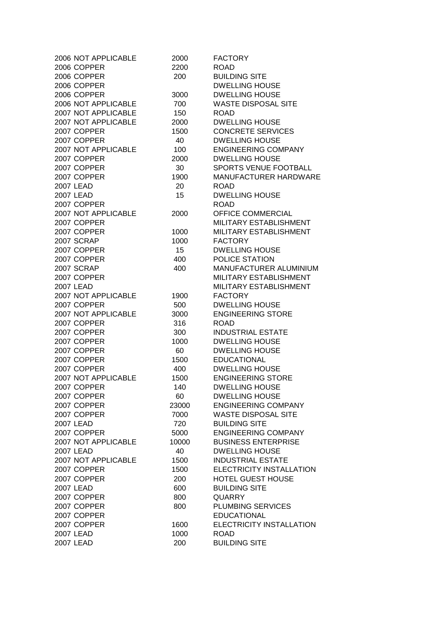| 2006 NOT APPLICABLE | 2000  | <b>FACTORY</b>             |
|---------------------|-------|----------------------------|
| 2006 COPPER         | 2200  | <b>ROAD</b>                |
| 2006 COPPER         | 200   | <b>BUILDING SITE</b>       |
| 2006 COPPER         |       | <b>DWELLING HOUSE</b>      |
| 2006 COPPER         | 3000  | <b>DWELLING HOUSE</b>      |
| 2006 NOT APPLICABLE | 700   | <b>WASTE DISPOSAL SITE</b> |
| 2007 NOT APPLICABLE | 150   | <b>ROAD</b>                |
| 2007 NOT APPLICABLE | 2000  | <b>DWELLING HOUSE</b>      |
| 2007 COPPER         | 1500  | <b>CONCRETE SERVICES</b>   |
| 2007 COPPER         | 40    | <b>DWELLING HOUSE</b>      |
| 2007 NOT APPLICABLE | 100   | <b>ENGINEERING COMPANY</b> |
| 2007 COPPER         | 2000  | <b>DWELLING HOUSE</b>      |
| 2007 COPPER         | 30    | SPORTS VENUE FOOTBALL      |
| 2007 COPPER         | 1900  | MANUFACTURER HARDWARE      |
| 2007 LEAD           | 20    | <b>ROAD</b>                |
| 2007 LEAD           | 15    | <b>DWELLING HOUSE</b>      |
| 2007 COPPER         |       | <b>ROAD</b>                |
| 2007 NOT APPLICABLE | 2000  | OFFICE COMMERCIAL          |
| 2007 COPPER         |       | MILITARY ESTABLISHMENT     |
| 2007 COPPER         | 1000  | MILITARY ESTABLISHMENT     |
| 2007 SCRAP          | 1000  | <b>FACTORY</b>             |
| 2007 COPPER         | 15    | <b>DWELLING HOUSE</b>      |
| 2007 COPPER         | 400   | POLICE STATION             |
| 2007 SCRAP          | 400   | MANUFACTURER ALUMINIUM     |
| 2007 COPPER         |       | MILITARY ESTABLISHMENT     |
| 2007 LEAD           |       | MILITARY ESTABLISHMENT     |
| 2007 NOT APPLICABLE |       | <b>FACTORY</b>             |
|                     | 1900  |                            |
| 2007 COPPER         | 500   | <b>DWELLING HOUSE</b>      |
| 2007 NOT APPLICABLE | 3000  | <b>ENGINEERING STORE</b>   |
| 2007 COPPER         | 316   | <b>ROAD</b>                |
| 2007 COPPER         | 300   | <b>INDUSTRIAL ESTATE</b>   |
| 2007 COPPER         | 1000  | <b>DWELLING HOUSE</b>      |
| 2007 COPPER         | 60    | <b>DWELLING HOUSE</b>      |
| 2007 COPPER         | 1500  | <b>EDUCATIONAL</b>         |
| 2007 COPPER         | 400   | <b>DWELLING HOUSE</b>      |
| 2007 NOT APPLICABLE | 1500  | <b>ENGINEERING STORE</b>   |
| 2007 COPPER         | 140   | <b>DWELLING HOUSE</b>      |
| 2007 COPPER         | 60    | <b>DWELLING HOUSE</b>      |
| 2007 COPPER         | 23000 | <b>ENGINEERING COMPANY</b> |
| 2007 COPPER         | 7000  | <b>WASTE DISPOSAL SITE</b> |
| 2007 LEAD           | 720   | <b>BUILDING SITE</b>       |
| 2007 COPPER         | 5000  | <b>ENGINEERING COMPANY</b> |
| 2007 NOT APPLICABLE | 10000 | <b>BUSINESS ENTERPRISE</b> |
| 2007 LEAD           | 40    | <b>DWELLING HOUSE</b>      |
| 2007 NOT APPLICABLE | 1500  | <b>INDUSTRIAL ESTATE</b>   |
| 2007 COPPER         | 1500  | ELECTRICITY INSTALLATION   |
| 2007 COPPER         | 200   | <b>HOTEL GUEST HOUSE</b>   |
| 2007 LEAD           | 600   | <b>BUILDING SITE</b>       |
| 2007 COPPER         | 800   | <b>QUARRY</b>              |
| 2007 COPPER         | 800   | <b>PLUMBING SERVICES</b>   |
| 2007 COPPER         |       | <b>EDUCATIONAL</b>         |
| 2007 COPPER         | 1600  | ELECTRICITY INSTALLATION   |
| 2007 LEAD           | 1000  | <b>ROAD</b>                |
| 2007 LEAD           | 200   | <b>BUILDING SITE</b>       |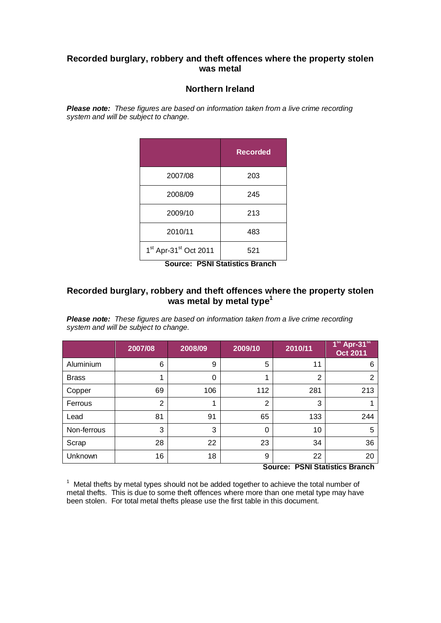## **Recorded burglary, robbery and theft offences where the property stolen was metal**

## **Northern Ireland**

*Please note: These figures are based on information taken from a live crime recording system and will be subject to change.*

|                                               | <b>Recorded</b> |
|-----------------------------------------------|-----------------|
| 2007/08                                       | 203             |
| 2008/09                                       | 245             |
| 2009/10                                       | 213             |
| 2010/11                                       | 483             |
| 1 <sup>st</sup> Apr-31 <sup>st</sup> Oct 2011 | 521             |

**Source: PSNI Statistics Branch**

## **Recorded burglary, robbery and theft offences where the property stolen**  was metal by metal type<sup>1</sup>

*Please note: These figures are based on information taken from a live crime recording system and will be subject to change.*

|              | 2007/08        | 2008/09 | 2009/10        | 2010/11        | 1 <sup>st</sup> Apr-31 <sup>st</sup><br><b>Oct 2011</b> |
|--------------|----------------|---------|----------------|----------------|---------------------------------------------------------|
| Aluminium    | 6              | 9       | 5              | 11             | 6                                                       |
| <b>Brass</b> |                | 0       |                | $\overline{2}$ | 2                                                       |
| Copper       | 69             | 106     | 112            | 281            | 213                                                     |
| Ferrous      | $\overline{2}$ |         | $\overline{2}$ | 3              |                                                         |
| Lead         | 81             | 91      | 65             | 133            | 244                                                     |
| Non-ferrous  | 3              | 3       | 0              | 10             | 5                                                       |
| Scrap        | 28             | 22      | 23             | 34             | 36                                                      |
| Unknown      | 16             | 18      | 9              | 22             | 20<br>.                                                 |

**Source: PSNI Statistics Branch**

 $1$  Metal thefts by metal types should not be added together to achieve the total number of metal thefts. This is due to some theft offences where more than one metal type may have been stolen. For total metal thefts please use the first table in this document.